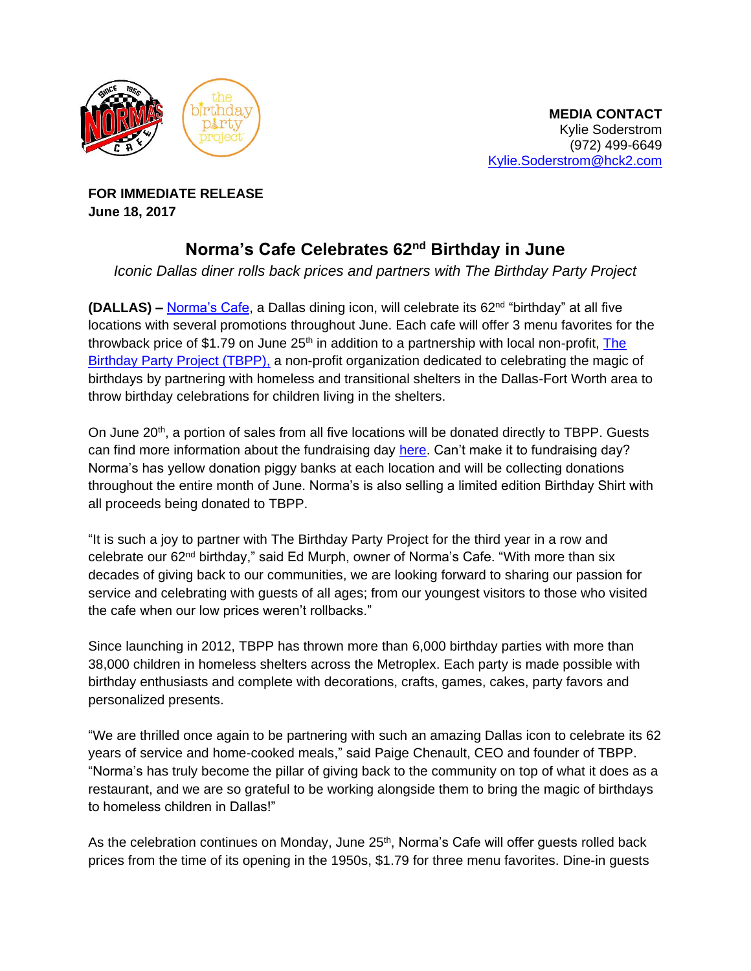

**FOR IMMEDIATE RELEASE June 18, 2017**

## **Norma's Cafe Celebrates 62nd Birthday in June**

*Iconic Dallas diner rolls back prices and partners with The Birthday Party Project*

**(DALLAS) –** [Norma's Cafe,](http://normascafe.com/) a Dallas dining icon, will celebrate its 62nd "birthday" at all five locations with several promotions throughout June. Each cafe will offer 3 menu favorites for the throwback price of \$1.79 on June  $25<sup>th</sup>$  in addition to a partnership with local non-profit, The [Birthday Party Project \(TBPP\),](http://www.thebirthdaypartyproject.org/) a non-profit organization dedicated to celebrating the magic of birthdays by partnering with homeless and transitional shelters in the Dallas-Fort Worth area to throw birthday celebrations for children living in the shelters.

On June  $20<sup>th</sup>$ , a portion of sales from all five locations will be donated directly to TBPP. Guests can find more information about the fundraising day [here.](https://www.facebook.com/events/2058756277715833/) Can't make it to fundraising day? Norma's has yellow donation piggy banks at each location and will be collecting donations throughout the entire month of June. Norma's is also selling a limited edition Birthday Shirt with all proceeds being donated to TBPP.

"It is such a joy to partner with The Birthday Party Project for the third year in a row and celebrate our 62nd birthday," said Ed Murph, owner of Norma's Cafe. "With more than six decades of giving back to our communities, we are looking forward to sharing our passion for service and celebrating with guests of all ages; from our youngest visitors to those who visited the cafe when our low prices weren't rollbacks."

Since launching in 2012, TBPP has thrown more than 6,000 birthday parties with more than 38,000 children in homeless shelters across the Metroplex. Each party is made possible with birthday enthusiasts and complete with decorations, crafts, games, cakes, party favors and personalized presents.

"We are thrilled once again to be partnering with such an amazing Dallas icon to celebrate its 62 years of service and home-cooked meals," said Paige Chenault, CEO and founder of TBPP. "Norma's has truly become the pillar of giving back to the community on top of what it does as a restaurant, and we are so grateful to be working alongside them to bring the magic of birthdays to homeless children in Dallas!"

As the celebration continues on Monday, June 25<sup>th</sup>, Norma's Cafe will offer guests rolled back prices from the time of its opening in the 1950s, \$1.79 for three menu favorites. Dine-in guests